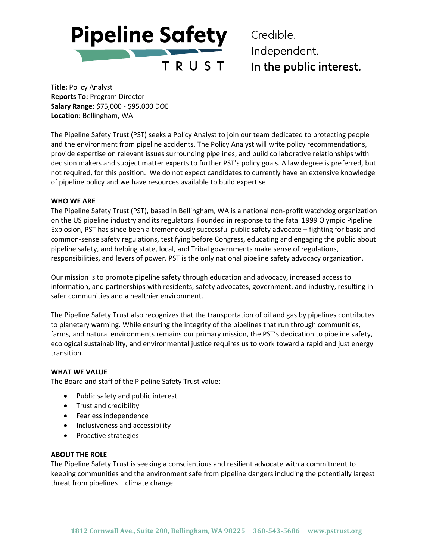**Pipeline Safety** 

TRUST

Credible. Independent. In the public interest.

**Title:** Policy Analyst **Reports To:** Program Director **Salary Range:** \$75,000 - \$95,000 DOE **Location:** Bellingham, WA

The Pipeline Safety Trust (PST) seeks a Policy Analyst to join our team dedicated to protecting people and the environment from pipeline accidents. The Policy Analyst will write policy recommendations, provide expertise on relevant issues surrounding pipelines, and build collaborative relationships with decision makers and subject matter experts to further PST's policy goals. A law degree is preferred, but not required, for this position. We do not expect candidates to currently have an extensive knowledge of pipeline policy and we have resources available to build expertise.

## **WHO WE ARE**

The Pipeline Safety Trust (PST), based in Bellingham, WA is a national non-profit watchdog organization on the US pipeline industry and its regulators. Founded in response to the fatal 1999 Olympic Pipeline Explosion, PST has since been a tremendously successful public safety advocate – fighting for basic and common-sense safety regulations, testifying before Congress, educating and engaging the public about pipeline safety, and helping state, local, and Tribal governments make sense of regulations, responsibilities, and levers of power. PST is the only national pipeline safety advocacy organization.

Our mission is to promote pipeline safety through education and advocacy, increased access to information, and partnerships with residents, safety advocates, government, and industry, resulting in safer communities and a healthier environment.

The Pipeline Safety Trust also recognizes that the transportation of oil and gas by pipelines contributes to planetary warming. While ensuring the integrity of the pipelines that run through communities, farms, and natural environments remains our primary mission, the PST's dedication to pipeline safety, ecological sustainability, and environmental justice requires us to work toward a rapid and just energy transition.

#### **WHAT WE VALUE**

The Board and staff of the Pipeline Safety Trust value:

- Public safety and public interest
- Trust and credibility
- Fearless independence
- Inclusiveness and accessibility
- Proactive strategies

### **ABOUT THE ROLE**

The Pipeline Safety Trust is seeking a conscientious and resilient advocate with a commitment to keeping communities and the environment safe from pipeline dangers including the potentially largest threat from pipelines – climate change.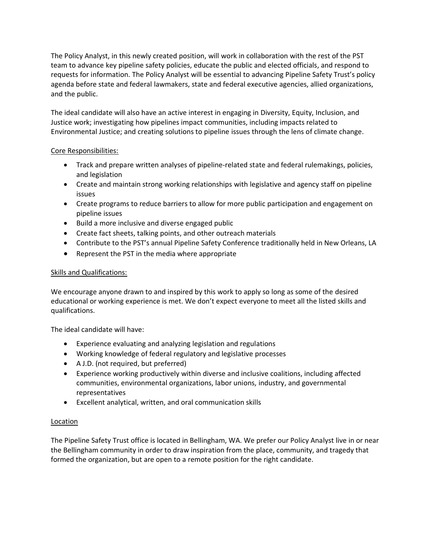The Policy Analyst, in this newly created position, will work in collaboration with the rest of the PST team to advance key pipeline safety policies, educate the public and elected officials, and respond to requests for information. The Policy Analyst will be essential to advancing Pipeline Safety Trust's policy agenda before state and federal lawmakers, state and federal executive agencies, allied organizations, and the public.

The ideal candidate will also have an active interest in engaging in Diversity, Equity, Inclusion, and Justice work; investigating how pipelines impact communities, including impacts related to Environmental Justice; and creating solutions to pipeline issues through the lens of climate change.

# Core Responsibilities:

- Track and prepare written analyses of pipeline-related state and federal rulemakings, policies, and legislation
- Create and maintain strong working relationships with legislative and agency staff on pipeline issues
- Create programs to reduce barriers to allow for more public participation and engagement on pipeline issues
- Build a more inclusive and diverse engaged public
- Create fact sheets, talking points, and other outreach materials
- Contribute to the PST's annual Pipeline Safety Conference traditionally held in New Orleans, LA
- Represent the PST in the media where appropriate

## Skills and Qualifications:

We encourage anyone drawn to and inspired by this work to apply so long as some of the desired educational or working experience is met. We don't expect everyone to meet all the listed skills and qualifications.

The ideal candidate will have:

- Experience evaluating and analyzing legislation and regulations
- Working knowledge of federal regulatory and legislative processes
- A J.D. (not required, but preferred)
- Experience working productively within diverse and inclusive coalitions, including affected communities, environmental organizations, labor unions, industry, and governmental representatives
- Excellent analytical, written, and oral communication skills

# Location

The Pipeline Safety Trust office is located in Bellingham, WA. We prefer our Policy Analyst live in or near the Bellingham community in order to draw inspiration from the place, community, and tragedy that formed the organization, but are open to a remote position for the right candidate.